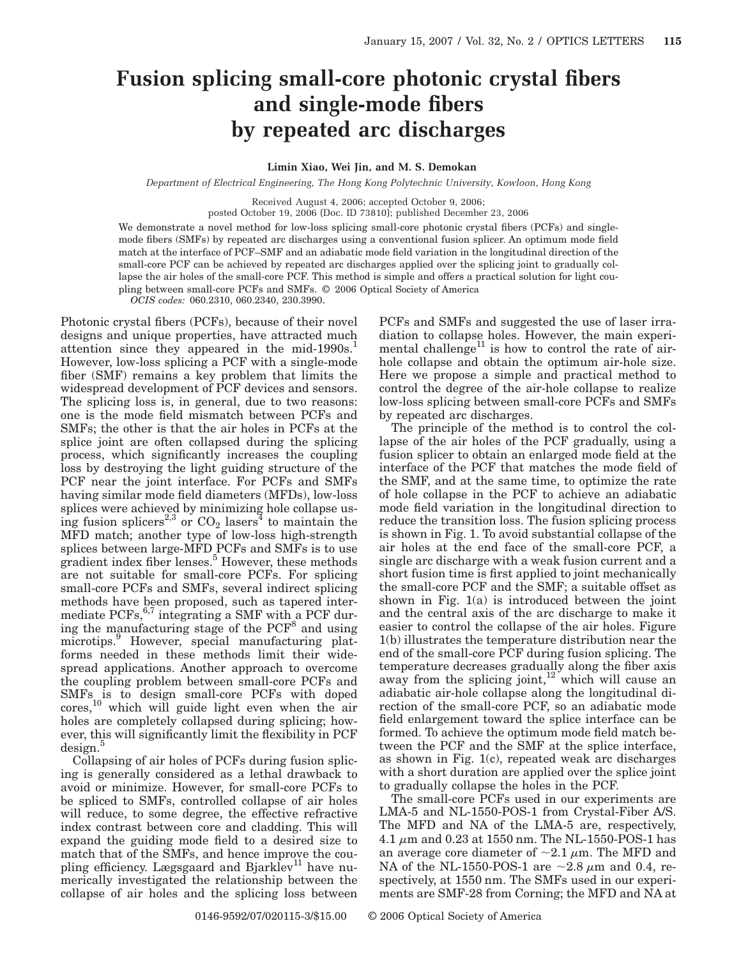## **Fusion splicing small-core photonic crystal fibers and single-mode fibers by repeated arc discharges**

## **Limin Xiao, Wei Jin, and M. S. Demokan**

*Department of Electrical Engineering, The Hong Kong Polytechnic University, Kowloon, Hong Kong*

Received August 4, 2006; accepted October 9, 2006;

posted October 19, 2006 (Doc. ID 73810); published December 23, 2006

We demonstrate a novel method for low-loss splicing small-core photonic crystal fibers (PCFs) and singlemode fibers (SMFs) by repeated arc discharges using a conventional fusion splicer. An optimum mode field match at the interface of PCF–SMF and an adiabatic mode field variation in the longitudinal direction of the small-core PCF can be achieved by repeated arc discharges applied over the splicing joint to gradually collapse the air holes of the small-core PCF. This method is simple and offers a practical solution for light coupling between small-core PCFs and SMFs. © 2006 Optical Society of America

*OCIS codes:* 060.2310, 060.2340, 230.3990.

Photonic crystal fibers (PCFs), because of their novel designs and unique properties, have attracted much attention since they appeared in the mid-1990s. $<sup>1</sup>$ </sup> However, low-loss splicing a PCF with a single-mode fiber (SMF) remains a key problem that limits the widespread development of PCF devices and sensors. The splicing loss is, in general, due to two reasons: one is the mode field mismatch between PCFs and SMFs; the other is that the air holes in PCFs at the splice joint are often collapsed during the splicing process, which significantly increases the coupling loss by destroying the light guiding structure of the PCF near the joint interface. For PCFs and SMFs having similar mode field diameters (MFDs), low-loss splices were achieved by minimizing hole collapse using fusion splicers<sup>2,3</sup> or  $CO_2$  lasers<sup>4</sup> to maintain the MFD match; another type of low-loss high-strength splices between large-MFD PCFs and SMFs is to use gradient index fiber lenses.<sup>5</sup> However, these methods are not suitable for small-core PCFs. For splicing small-core PCFs and SMFs, several indirect splicing methods have been proposed, such as tapered intermediate  $PCFs$ ,<sup>6,7</sup> integrating a SMF with a PCF during the manufacturing stage of the  $PCF^8$  and using microtips.<sup>9</sup> However, special manufacturing platforms needed in these methods limit their widespread applications. Another approach to overcome the coupling problem between small-core PCFs and SMFs is to design small-core PCFs with doped  $\text{cores},^{10}$  which will guide light even when the air holes are completely collapsed during splicing; however, this will significantly limit the flexibility in PCF  $\text{design.}^5$ 

Collapsing of air holes of PCFs during fusion splicing is generally considered as a lethal drawback to avoid or minimize. However, for small-core PCFs to be spliced to SMFs, controlled collapse of air holes will reduce, to some degree, the effective refractive index contrast between core and cladding. This will expand the guiding mode field to a desired size to match that of the SMFs, and hence improve the coupling efficiency. Lægsgaard and Bjarklev<sup>11</sup> have numerically investigated the relationship between the collapse of air holes and the splicing loss between

PCFs and SMFs and suggested the use of laser irradiation to collapse holes. However, the main experimental challenge<sup>11</sup> is how to control the rate of airhole collapse and obtain the optimum air-hole size. Here we propose a simple and practical method to control the degree of the air-hole collapse to realize low-loss splicing between small-core PCFs and SMFs by repeated arc discharges.

The principle of the method is to control the collapse of the air holes of the PCF gradually, using a fusion splicer to obtain an enlarged mode field at the interface of the PCF that matches the mode field of the SMF, and at the same time, to optimize the rate of hole collapse in the PCF to achieve an adiabatic mode field variation in the longitudinal direction to reduce the transition loss. The fusion splicing process is shown in Fig. 1. To avoid substantial collapse of the air holes at the end face of the small-core PCF, a single arc discharge with a weak fusion current and a short fusion time is first applied to joint mechanically the small-core PCF and the SMF; a suitable offset as shown in Fig.  $1(a)$  is introduced between the joint and the central axis of the arc discharge to make it easier to control the collapse of the air holes. Figure 1(b) illustrates the temperature distribution near the end of the small-core PCF during fusion splicing. The temperature decreases gradually along the fiber axis away from the splicing joint,<sup>12</sup> which will cause an adiabatic air-hole collapse along the longitudinal direction of the small-core PCF, so an adiabatic mode field enlargement toward the splice interface can be formed. To achieve the optimum mode field match between the PCF and the SMF at the splice interface, as shown in Fig. 1(c), repeated weak arc discharges with a short duration are applied over the splice joint to gradually collapse the holes in the PCF.

The small-core PCFs used in our experiments are LMA-5 and NL-1550-POS-1 from Crystal-Fiber A/S. The MFD and NA of the LMA-5 are, respectively, 4.1  $\mu$ m and 0.23 at 1550 nm. The NL-1550-POS-1 has an average core diameter of  $\sim$ 2.1  $\mu$ m. The MFD and NA of the NL-1550-POS-1 are  $\sim$ 2.8  $\mu$ m and 0.4, respectively, at 1550 nm. The SMFs used in our experiments are SMF-28 from Corning; the MFD and NA at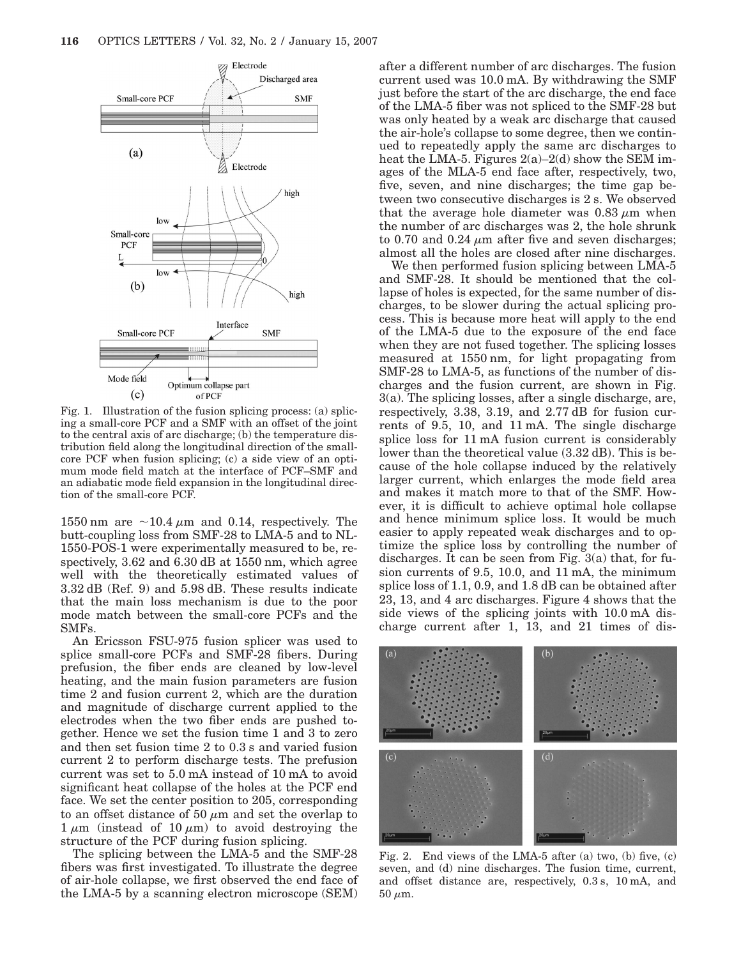

Fig. 1. Illustration of the fusion splicing process: (a) splicing a small-core PCF and a SMF with an offset of the joint to the central axis of arc discharge; (b) the temperature distribution field along the longitudinal direction of the smallcore PCF when fusion splicing; (c) a side view of an optimum mode field match at the interface of PCF–SMF and an adiabatic mode field expansion in the longitudinal direction of the small-core PCF.

1550 nm are  $\sim$ 10.4  $\mu$ m and 0.14, respectively. The butt-coupling loss from SMF-28 to LMA-5 and to NL-1550-POS-1 were experimentally measured to be, respectively, 3.62 and 6.30 dB at 1550 nm, which agree well with the theoretically estimated values of 3.32 dB (Ref. 9) and 5.98 dB. These results indicate that the main loss mechanism is due to the poor mode match between the small-core PCFs and the SMFs.

An Ericsson FSU-975 fusion splicer was used to splice small-core PCFs and SMF-28 fibers. During prefusion, the fiber ends are cleaned by low-level heating, and the main fusion parameters are fusion time 2 and fusion current 2, which are the duration and magnitude of discharge current applied to the electrodes when the two fiber ends are pushed together. Hence we set the fusion time 1 and 3 to zero and then set fusion time 2 to 0.3 s and varied fusion current 2 to perform discharge tests. The prefusion current was set to 5.0 mA instead of 10 mA to avoid significant heat collapse of the holes at the PCF end face. We set the center position to 205, corresponding to an offset distance of 50  $\mu$ m and set the overlap to  $1 \mu m$  (instead of 10  $\mu$ m) to avoid destroying the structure of the PCF during fusion splicing.

The splicing between the LMA-5 and the SMF-28 fibers was first investigated. To illustrate the degree of air-hole collapse, we first observed the end face of the LMA-5 by a scanning electron microscope (SEM) after a different number of arc discharges. The fusion current used was 10.0 mA. By withdrawing the SMF just before the start of the arc discharge, the end face of the LMA-5 fiber was not spliced to the SMF-28 but was only heated by a weak arc discharge that caused the air-hole's collapse to some degree, then we continued to repeatedly apply the same arc discharges to heat the LMA-5. Figures  $2(a)-2(d)$  show the SEM images of the MLA-5 end face after, respectively, two, five, seven, and nine discharges; the time gap between two consecutive discharges is 2 s. We observed that the average hole diameter was  $0.83 \mu m$  when the number of arc discharges was 2, the hole shrunk to 0.70 and 0.24  $\mu$ m after five and seven discharges; almost all the holes are closed after nine discharges.

We then performed fusion splicing between LMA-5 and SMF-28. It should be mentioned that the collapse of holes is expected, for the same number of discharges, to be slower during the actual splicing process. This is because more heat will apply to the end of the LMA-5 due to the exposure of the end face when they are not fused together. The splicing losses measured at 1550 nm, for light propagating from SMF-28 to LMA-5, as functions of the number of discharges and the fusion current, are shown in Fig. 3(a). The splicing losses, after a single discharge, are, respectively, 3.38, 3.19, and 2.77 dB for fusion currents of 9.5, 10, and 11 mA. The single discharge splice loss for 11 mA fusion current is considerably lower than the theoretical value (3.32 dB). This is because of the hole collapse induced by the relatively larger current, which enlarges the mode field area and makes it match more to that of the SMF. However, it is difficult to achieve optimal hole collapse and hence minimum splice loss. It would be much easier to apply repeated weak discharges and to optimize the splice loss by controlling the number of discharges. It can be seen from Fig. 3(a) that, for fusion currents of 9.5, 10.0, and 11 mA, the minimum splice loss of 1.1, 0.9, and 1.8 dB can be obtained after 23, 13, and 4 arc discharges. Figure 4 shows that the side views of the splicing joints with 10.0 mA discharge current after 1, 13, and 21 times of dis-



Fig. 2. End views of the LMA-5 after (a) two, (b) five, (c) seven, and (d) nine discharges. The fusion time, current, and offset distance are, respectively, 0.3 s, 10 mA, and  $50 \mu m$ .